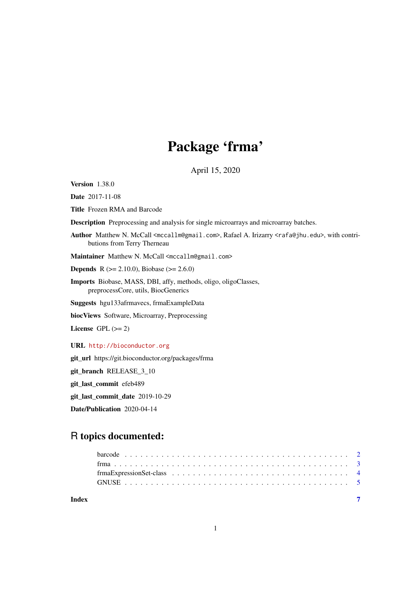# Package 'frma'

April 15, 2020

Version 1.38.0

Date 2017-11-08

Title Frozen RMA and Barcode

Description Preprocessing and analysis for single microarrays and microarray batches.

Author Matthew N. McCall <mccallm@gmail.com>, Rafael A. Irizarry <rafa@jhu.edu>, with contributions from Terry Therneau

Maintainer Matthew N. McCall <mccallm@gmail.com>

**Depends** R ( $>= 2.10.0$ ), Biobase ( $>= 2.6.0$ )

Imports Biobase, MASS, DBI, affy, methods, oligo, oligoClasses, preprocessCore, utils, BiocGenerics

Suggests hgu133afrmavecs, frmaExampleData

biocViews Software, Microarray, Preprocessing

License GPL  $(>= 2)$ 

URL <http://bioconductor.org>

git\_url https://git.bioconductor.org/packages/frma

git\_branch RELEASE\_3\_10

git\_last\_commit efeb489

git\_last\_commit\_date 2019-10-29

Date/Publication 2020-04-14

## R topics documented:

**Index** [7](#page-6-0)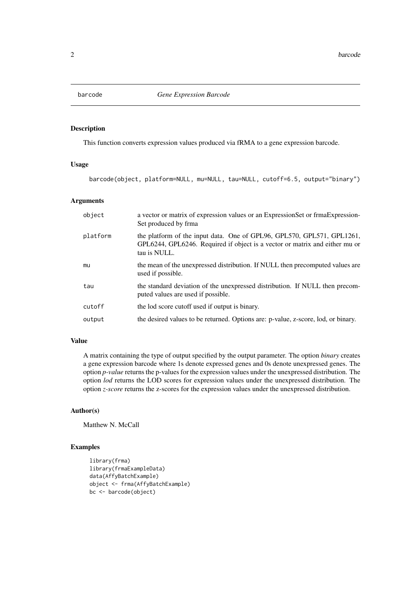<span id="page-1-0"></span>

#### Description

This function converts expression values produced via fRMA to a gene expression barcode.

#### Usage

barcode(object, platform=NULL, mu=NULL, tau=NULL, cutoff=6.5, output="binary")

#### Arguments

| object   | a vector or matrix of expression values or an ExpressionSet or frmaExpression<br>Set produced by frma                                                                 |
|----------|-----------------------------------------------------------------------------------------------------------------------------------------------------------------------|
| platform | the platform of the input data. One of GPL96, GPL570, GPL571, GPL1261,<br>GPL6244, GPL6246. Required if object is a vector or matrix and either mu or<br>tau is NULL. |
| mu       | the mean of the unexpressed distribution. If NULL then precomputed values are<br>used if possible.                                                                    |
| tau      | the standard deviation of the unexpressed distribution. If NULL then precom-<br>puted values are used if possible.                                                    |
| cutoff   | the lod score cutoff used if output is binary.                                                                                                                        |
| output   | the desired values to be returned. Options are: p-value, z-score, lod, or binary.                                                                                     |

#### Value

A matrix containing the type of output specified by the output parameter. The option *binary* creates a gene expression barcode where 1s denote expressed genes and 0s denote unexpressed genes. The option *p-value* returns the p-values for the expression values under the unexpressed distribution. The option *lod* returns the LOD scores for expression values under the unexpressed distribution. The option *z-score* returns the z-scores for the expression values under the unexpressed distribution.

### Author(s)

Matthew N. McCall

#### Examples

```
library(frma)
library(frmaExampleData)
data(AffyBatchExample)
object <- frma(AffyBatchExample)
bc <- barcode(object)
```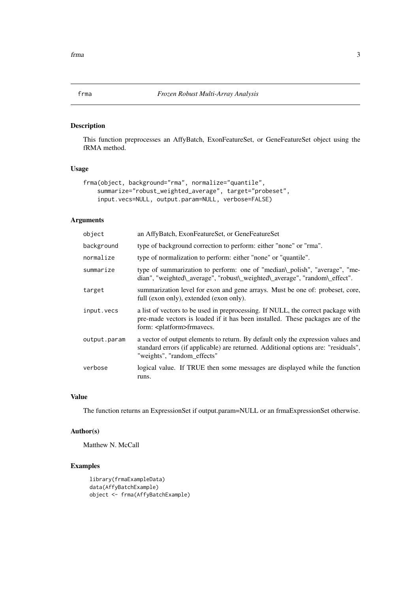#### <span id="page-2-0"></span>Description

This function preprocesses an AffyBatch, ExonFeatureSet, or GeneFeatureSet object using the fRMA method.

#### Usage

```
frma(object, background="rma", normalize="quantile",
    summarize="robust_weighted_average", target="probeset",
    input.vecs=NULL, output.param=NULL, verbose=FALSE)
```
#### Arguments

| object       | an AffyBatch, ExonFeatureSet, or GeneFeatureSet                                                                                                                                                            |
|--------------|------------------------------------------------------------------------------------------------------------------------------------------------------------------------------------------------------------|
| background   | type of background correction to perform: either "none" or "rma".                                                                                                                                          |
| normalize    | type of normalization to perform: either "none" or "quantile".                                                                                                                                             |
| summarize    | type of summarization to perform: one of "median\_polish", "average", "me-<br>dian", "weighted\_average", "robust\_weighted\_average", "random\_effect".                                                   |
| target       | summarization level for exon and gene arrays. Must be one of: probeset, core,<br>full (exon only), extended (exon only).                                                                                   |
| input.vecs   | a list of vectors to be used in preprocessing. If NULL, the correct package with<br>pre-made vectors is loaded if it has been installed. These packages are of the<br>form: <platform>frmavecs.</platform> |
| output.param | a vector of output elements to return. By default only the expression values and<br>standard errors (if applicable) are returned. Additional options are: "residuals",<br>"weights", "random_effects"      |
| verbose      | logical value. If TRUE then some messages are displayed while the function<br>runs.                                                                                                                        |

#### Value

The function returns an ExpressionSet if output.param=NULL or an frmaExpressionSet otherwise.

#### Author(s)

Matthew N. McCall

#### Examples

```
library(frmaExampleData)
data(AffyBatchExample)
object <- frma(AffyBatchExample)
```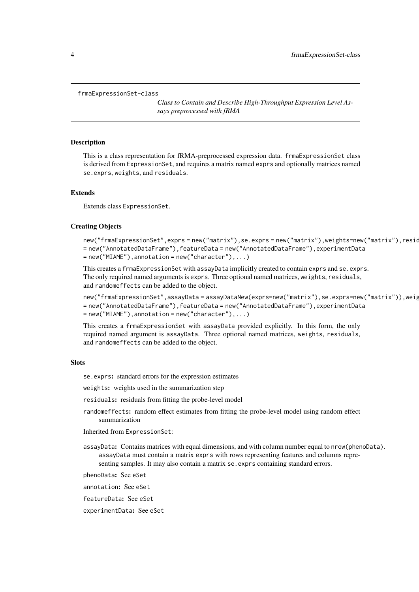#### <span id="page-3-0"></span>frmaExpressionSet-class

*Class to Contain and Describe High-Throughput Expression Level Assays preprocessed with fRMA*

#### Description

This is a class representation for fRMA-preprocessed expression data. frmaExpressionSet class is derived from ExpressionSet, and requires a matrix named exprs and optionally matrices named se.exprs, weights, and residuals.

#### Extends

Extends class ExpressionSet.

#### Creating Objects

```
new("frmaExpressionSet",exprs = new("matrix"),se.exprs = new("matrix"),weights=new("matrix"),resid
= new("AnnotatedDataFrame"),featureData = new("AnnotatedDataFrame"),experimentData
= new("MIAME"),annotation = new("character"),...)
```
This creates a frmaExpressionSet with assayData implicitly created to contain exprs and se.exprs. The only required named arguments is exprs. Three optional named matrices, weights, residuals, and randomeffects can be added to the object.

```
new("frmaExpressionSet",assayData = assayDataNew(exprs=new("matrix"),se.exprs=new("matrix")),weig
= new("AnnotatedDataFrame"),featureData = new("AnnotatedDataFrame"),experimentData
= new("MIAME"), annotation = new("character"),...)
```
This creates a frmaExpressionSet with assayData provided explicitly. In this form, the only required named argument is assayData. Three optional named matrices, weights, residuals, and randomeffects can be added to the object.

#### **Slots**

se.exprs: standard errors for the expression estimates

weights: weights used in the summarization step

residuals: residuals from fitting the probe-level model

randomeffects: random effect estimates from fitting the probe-level model using random effect summarization

Inherited from ExpressionSet:

- assayData: Contains matrices with equal dimensions, and with column number equal to nrow(phenoData). assayData must contain a matrix exprs with rows representing features and columns representing samples. It may also contain a matrix se.exprs containing standard errors.
- phenoData: See eSet
- annotation: See eSet

featureData: See eSet

experimentData: See eSet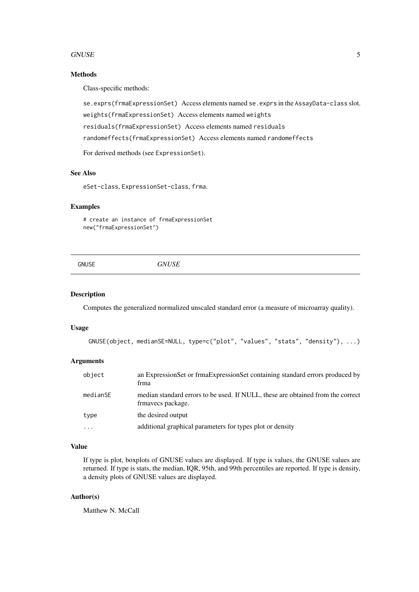#### <span id="page-4-0"></span>GNUSE 5

#### Methods

Class-specific methods:

se.exprs(frmaExpressionSet) Access elements named se.exprs in the AssayData-class slot.

weights(frmaExpressionSet) Access elements named weights

residuals(frmaExpressionSet) Access elements named residuals

randomeffects(frmaExpressionSet) Access elements named randomeffects

For derived methods (see ExpressionSet).

#### See Also

eSet-class, ExpressionSet-class, frma.

#### Examples

```
# create an instance of frmaExpressionSet
new("frmaExpressionSet")
```

| 117777<br><b>GNUSE</b><br>$\mathbf{v}$<br>-<br>, , |
|----------------------------------------------------|
|----------------------------------------------------|

#### Description

Computes the generalized normalized unscaled standard error (a measure of microarray quality).

#### Usage

```
GNUSE(object, medianSE=NULL, type=c("plot", "values", "stats", "density"), ...)
```
#### Arguments

| object     | an ExpressionSet or frmaExpressionSet containing standard errors produced by<br>frma                 |
|------------|------------------------------------------------------------------------------------------------------|
| medianSE   | median standard errors to be used. If NULL, these are obtained from the correct<br>frmavecs package. |
| type       | the desired output                                                                                   |
| $\ddots$ . | additional graphical parameters for types plot or density                                            |

#### Value

If type is plot, boxplots of GNUSE values are displayed. If type is values, the GNUSE values are returned. If type is stats, the median, IQR, 95th, and 99th percentiles are reported. If type is density, a density plots of GNUSE values are displayed.

#### Author(s)

Matthew N. McCall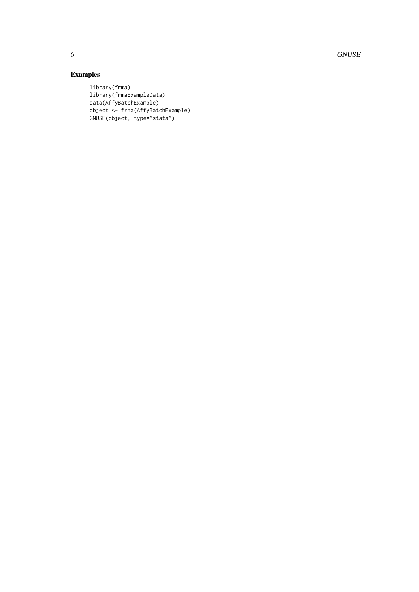6 GNUSE CONSERVERS ON SERVICE CONSERVERS ON SERVICE CONSERVERS ON SERVICE CONSERVERS ON SERVICE CONSERVERS ON SERVICE CONSERVERS ON SERVICE CONSERVERS ON SERVICE CONSERVERS ON SERVICE CONSERVERS ON SERVICE CONSERVERS ON SE

### Examples

```
library(frma)
library(frmaExampleData)
data(AffyBatchExample)
object <- frma(AffyBatchExample)
GNUSE(object, type="stats")
```